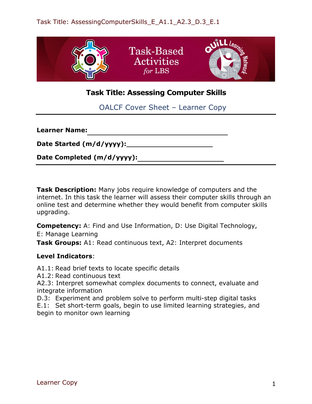

# **Task Title: Assessing Computer Skills**

OALCF Cover Sheet – Learner Copy

| <b>Learner Name:</b>           |  |
|--------------------------------|--|
| Date Started (m/d/yyyy):______ |  |
| Date Completed (m/d/yyyy):     |  |

**Task Description:** Many jobs require knowledge of computers and the internet. In this task the learner will assess their computer skills through an online test and determine whether they would benefit from computer skills upgrading.

**Competency:** A: Find and Use Information, D: Use Digital Technology, E: Manage Learning

**Task Groups:** A1: Read continuous text, A2: Interpret documents

# **Level Indicators**:

- A1.1: Read brief texts to locate specific details
- A1.2: Read continuous text

A2.3: Interpret somewhat complex documents to connect, evaluate and integrate information

D.3: Experiment and problem solve to perform multi-step digital tasks

E.1: Set short-term goals, begin to use limited learning strategies, and begin to monitor own learning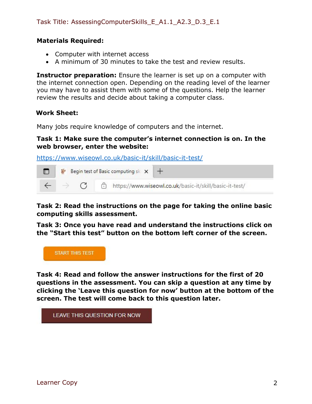### **Materials Required:**

- Computer with internet access
- A minimum of 30 minutes to take the test and review results.

**Instructor preparation:** Ensure the learner is set up on a computer with the internet connection open. Depending on the reading level of the learner you may have to assist them with some of the questions. Help the learner review the results and decide about taking a computer class.

### **Work Sheet:**

Many jobs require knowledge of computers and the internet.

### **Task 1: Make sure the computer's internet connection is on. In the web browser, enter the website:**

<https://www.wiseowl.co.uk/basic-it/skill/basic-it-test/>



# **Task 2: Read the instructions on the page for taking the online basic computing skills assessment.**

**Task 3: Once you have read and understand the instructions click on the "Start this test" button on the bottom left corner of the screen.**



**Task 4: Read and follow the answer instructions for the first of 20 questions in the assessment. You can skip a question at any time by clicking the 'Leave this question for now' button at the bottom of the screen. The test will come back to this question later.**

LEAVE THIS QUESTION FOR NOW